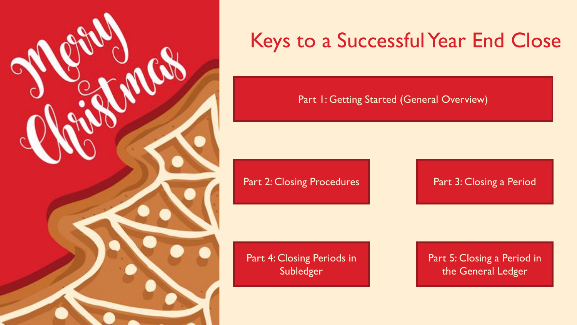

# Keys to a Successful Year End Close

[Part 1: Getting Started \(General Overview\)](#page-1-0)

[Part 2: Closing Procedures](#page-2-0) [Part 3: Closing a Period](#page-3-0)

[Part 4: Closing Periods in](#page-4-0)  Subledger

[Part 5: Closing a Period in](#page-12-0)  the General Ledger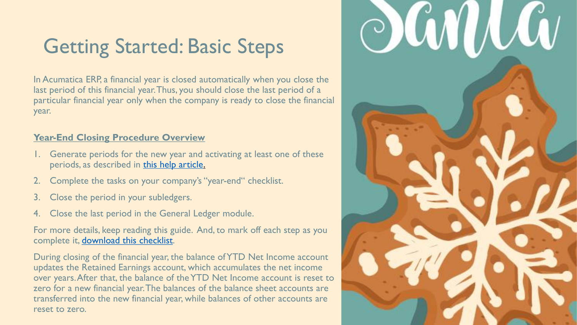# <span id="page-1-0"></span>Getting Started: Basic Steps

In Acumatica ERP, a financial year is closed automatically when you close the last period of this financial year. Thus, you should close the last period of a particular financial year only when the company is ready to close the financial year.

#### **Year-End Closing Procedure Overview**

- 1. Generate periods for the new year and activating at least one of these periods, as described in [this help article](https://help-2018r1.acumatica.com/Wiki/ShowWiki.aspx?wiki=helproot_user&art=%5cgl__con_financial_period_activation&from=6ed2fd9e-07b0-4466-b693-fe4b6129bc9c).
- 2. Complete the tasks on your company's "year-end" checklist.
- 3. Close the period in your subledgers.
- 4. Close the last period in the General Ledger module.

For more details, keep reading this guide. And, to mark off each step as you complete it, [download this checklist.](https://www.inteltech.com/wp-content/uploads/2019/12/Acumatica-Yearchk.docx)

During closing of the financial year, the balance of YTD Net Income account updates the Retained Earnings account, which accumulates the net income over years. After that, the balance of the YTD Net Income account is reset to zero for a new financial year. The balances of the balance sheet accounts are transferred into the new financial year, while balances of other accounts are reset to zero.

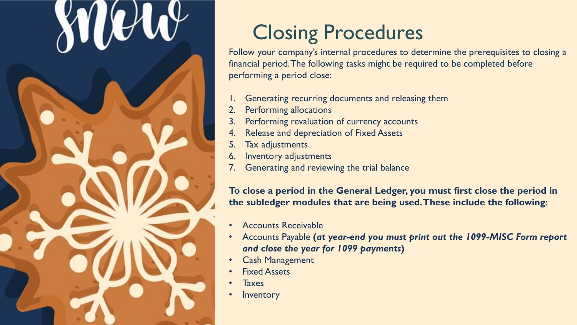# Closing Procedures

<span id="page-2-0"></span>Follow your company's internal procedures to determine the prerequisites to closing a financial period. The following tasks might be required to be completed before performing a period close:

- 1. Generating recurring documents and releasing them
- 2. Performing allocations
- 3. Performing revaluation of currency accounts
- Release and depreciation of Fixed Assets
- Tax adjustments
- 6. Inventory adjustments
- 7. Generating and reviewing the trial balance

**To close a period in the General Ledger, you must first close the period in the subledger modules that are being used. These include the following:** 

- Accounts Receivable
- Accounts Payable **(***at year-end you must print out the 1099-MISC Form report and close the year for 1099 payments***)**
- **Cash Management**
- **Fixed Assets**
- Taxes
- **Inventory**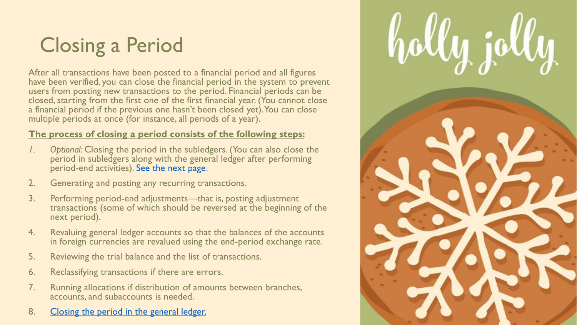# <span id="page-3-0"></span>Closing a Period

After all transactions have been posted to a financial period and all figures have been verified, you can close the financial period in the system to prevent users from posting new transactions to the period. Financial periods can be closed, starting from the first one of the first financial year. (You cannot close a financial period if the previous one hasn't been closed yet). You can close multiple periods at once (for instance, all periods of a year).

#### **The process of closing a period consists of the following steps:**

- *1. Optional:* Closing the period in the subledgers. (You can also close the period in subledgers along with the general ledger after performing period-end activities). [See the next page.](#page-4-0)
- 2. Generating and posting any recurring transactions.
- 3. Performing period-end adjustments—that is, posting adjustment transactions (some of which should be reversed at the beginning of the next period).
- 4. Revaluing general ledger accounts so that the balances of the accounts in foreign currencies are revalued using the end-period exchange rate.
- 5. Reviewing the trial balance and the list of transactions.
- 6. Reclassifying transactions if there are errors.
- 7. Running allocations if distribution of amounts between branches, accounts, and subaccounts is needed.
- 8. Closing the period in the general ledger.

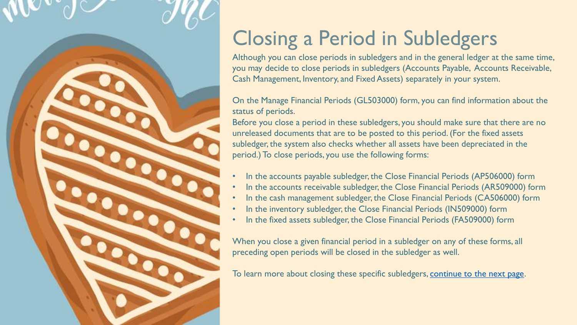<span id="page-4-0"></span>

# Closing a Period in Subledgers

Although you can close periods in subledgers and in the general ledger at the same time, you may decide to close periods in subledgers (Accounts Payable, Accounts Receivable, Cash Management, Inventory, and Fixed Assets) separately in your system.

On the Manage Financial Periods (GL503000) form, you can find information about the status of periods.

Before you close a period in these subledgers, you should make sure that there are no unreleased documents that are to be posted to this period. (For the fixed assets subledger, the system also checks whether all assets have been depreciated in the period.) To close periods, you use the following forms:

- In the accounts payable subledger, the Close Financial Periods (AP506000) form
- In the accounts receivable subledger, the Close Financial Periods (AR509000) form
- In the cash management subledger, the Close Financial Periods (CA506000) form
- In the inventory subledger, the Close Financial Periods (IN509000) form
- In the fixed assets subledger, the Close Financial Periods (FA509000) form

When you close a given financial period in a subledger on any of these forms, all preceding open periods will be closed in the subledger as well.

To learn more about closing these specific subledgers, [continue to the next page](#page-5-0).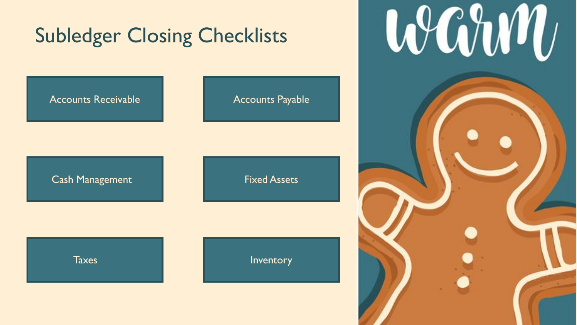<span id="page-5-0"></span>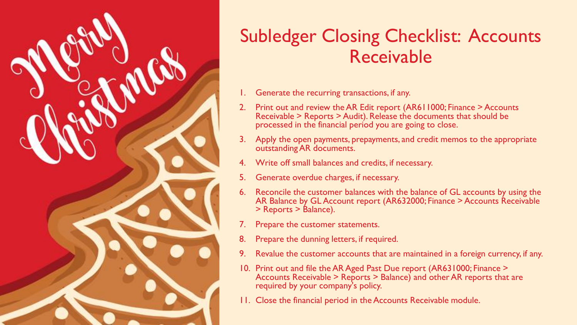<span id="page-6-0"></span>

### Subledger Closing Checklist: Accounts Receivable

- 1. Generate the recurring transactions, if any.
- 2. Print out and review the AR Edit report (AR611000; Finance > Accounts Receivable > Reports > Audit). Release the documents that should be processed in the financial period you are going to close.
- 3. Apply the open payments, prepayments, and credit memos to the appropriate outstanding AR documents.
- 4. Write off small balances and credits, if necessary.
- 5. Generate overdue charges, if necessary.
- 6. Reconcile the customer balances with the balance of GL accounts by using the AR Balance by GL Account report (AR632000; Finance > Accounts Receivable > Reports > Balance).
- 7. Prepare the customer statements.
- 8. Prepare the dunning letters, if required.
- 9. Revalue the customer accounts that are maintained in a foreign currency, if any.
- 10. Print out and file the AR Aged Past Due report (AR631000; Finance > Accounts Receivable > Reports > Balance) and other AR reports that are required by your company's policy.
- 11. Close the financial period in the Accounts Receivable module.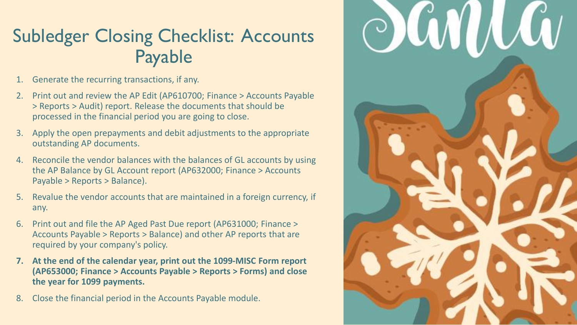### <span id="page-7-0"></span>Subledger Closing Checklist: Accounts Payable

- 1. Generate the recurring transactions, if any.
- 2. Print out and review the AP Edit (AP610700; Finance > Accounts Payable > Reports > Audit) report. Release the documents that should be processed in the financial period you are going to close.
- 3. Apply the open prepayments and debit adjustments to the appropriate outstanding AP documents.
- 4. Reconcile the vendor balances with the balances of GL accounts by using the AP Balance by GL Account report (AP632000; Finance > Accounts Payable > Reports > Balance).
- 5. Revalue the vendor accounts that are maintained in a foreign currency, if any.
- 6. Print out and file the AP Aged Past Due report (AP631000; Finance > Accounts Payable > Reports > Balance) and other AP reports that are required by your company's policy.
- **7. At the end of the calendar year, print out the 1099-MISC Form report (AP653000; Finance > Accounts Payable > Reports > Forms) and close the year for 1099 payments.**
- 8. Close the financial period in the Accounts Payable module.

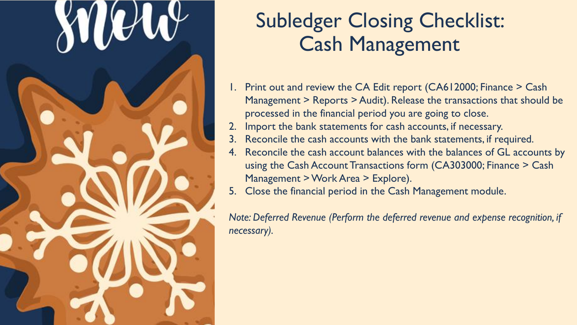<span id="page-8-0"></span>

# Subledger Closing Checklist: Cash Management

- 1. Print out and review the CA Edit report (CA612000; Finance > Cash Management > Reports > Audit). Release the transactions that should be processed in the financial period you are going to close.
- Import the bank statements for cash accounts, if necessary.
- 3. Reconcile the cash accounts with the bank statements, if required.
- 4. Reconcile the cash account balances with the balances of GL accounts by using the Cash Account Transactions form (CA303000; Finance > Cash Management > Work Area > Explore).
- 5. Close the financial period in the Cash Management module.

*Note: Deferred Revenue (Perform the deferred revenue and expense recognition, if necessary).*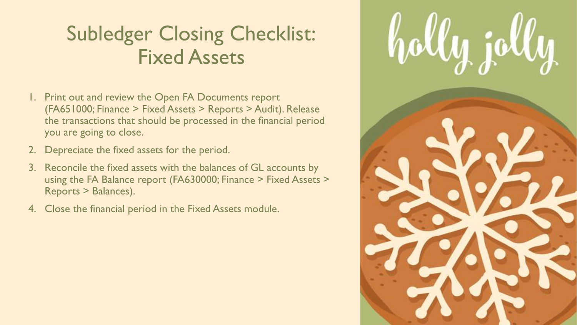# <span id="page-9-0"></span>Subledger Closing Checklist: Fixed Assets

- 1. Print out and review the Open FA Documents report (FA651000; Finance > Fixed Assets > Reports > Audit). Release the transactions that should be processed in the financial period you are going to close.
- 2. Depreciate the fixed assets for the period.
- 3. Reconcile the fixed assets with the balances of GL accounts by using the FA Balance report (FA630000; Finance > Fixed Assets > Reports > Balances).
- 4. Close the financial period in the Fixed Assets module.

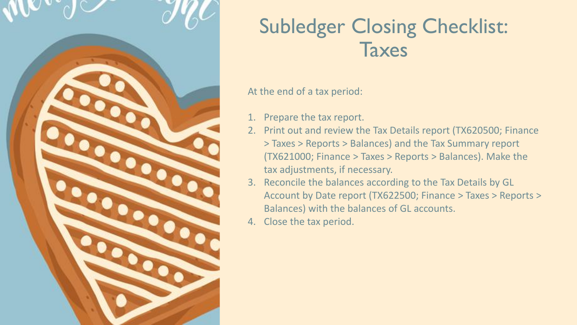<span id="page-10-0"></span>

# Subledger Closing Checklist: **Taxes**

#### At the end of a tax period:

- 1. Prepare the tax report.
- 2. Print out and review the Tax Details report (TX620500; Finance > Taxes > Reports > Balances) and the Tax Summary report (TX621000; Finance > Taxes > Reports > Balances). Make the tax adjustments, if necessary.
- 3. Reconcile the balances according to the Tax Details by GL Account by Date report (TX622500; Finance > Taxes > Reports > Balances) with the balances of GL accounts.
- 4. Close the tax period.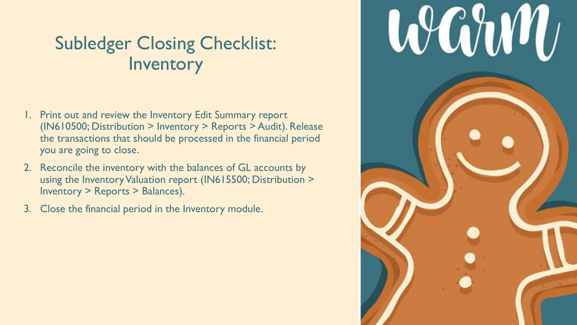### <span id="page-11-0"></span>Subledger Closing Checklist: **Inventory**

- 1. Print out and review the Inventory Edit Summary report (IN610500; Distribution > Inventory > Reports > Audit). Release the transactions that should be processed in the financial period you are going to close.
- 2. Reconcile the inventory with the balances of GL accounts by using the Inventory Valuation report (IN615500; Distribution > Inventory > Reports > Balances).
- 3. Close the financial period in the Inventory module.

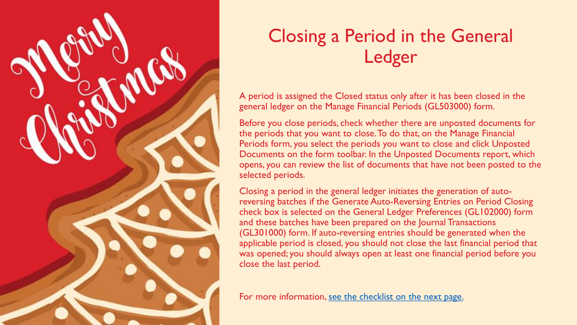<span id="page-12-0"></span>

## Closing a Period in the General Ledger

A period is assigned the Closed status only after it has been closed in the general ledger on the Manage Financial Periods (GL503000) form.

Before you close periods, check whether there are unposted documents for the periods that you want to close. To do that, on the Manage Financial Periods form, you select the periods you want to close and click Unposted Documents on the form toolbar. In the Unposted Documents report, which opens, you can review the list of documents that have not been posted to the selected periods.

Closing a period in the general ledger initiates the generation of autoreversing batches if the Generate Auto-Reversing Entries on Period Closing check box is selected on the General Ledger Preferences (GL102000) form and these batches have been prepared on the Journal Transactions (GL301000) form. If auto-reversing entries should be generated when the applicable period is closed, you should not close the last financial period that was opened; you should always open at least one financial period before you close the last period.

For more information, see the checklist on the next page.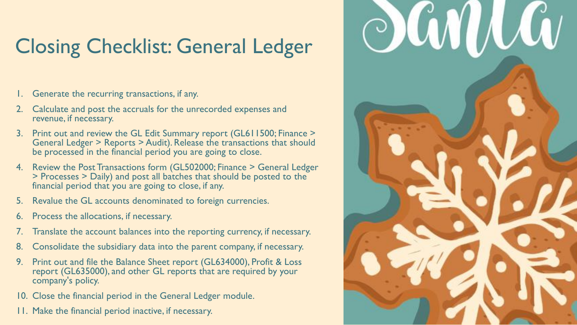# <span id="page-13-0"></span>Closing Checklist: General Ledger

- 1. Generate the recurring transactions, if any.
- 2. Calculate and post the accruals for the unrecorded expenses and revenue, if necessary.
- 3. Print out and review the GL Edit Summary report (GL611500; Finance > General Ledger > Reports > Audit). Release the transactions that should be processed in the financial period you are going to close.
- 4. Review the Post Transactions form (GL502000; Finance > General Ledger > Processes > Daily) and post all batches that should be posted to the financial period that you are going to close, if any.
- 5. Revalue the GL accounts denominated to foreign currencies.
- 6. Process the allocations, if necessary.
- 7. Translate the account balances into the reporting currency, if necessary.
- 8. Consolidate the subsidiary data into the parent company, if necessary.
- 9. Print out and file the Balance Sheet report (GL634000), Profit & Loss report (GL635000), and other GL reports that are required by your company's policy.
- 10. Close the financial period in the General Ledger module.
- 11. Make the financial period inactive, if necessary.